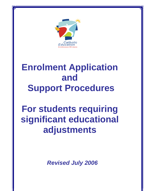

# **Enrolment Application and Support Procedures**

# **For students requiring significant educational adjustments**

*Revised July 2006*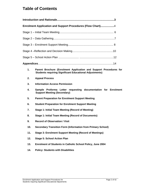# **Table of Contents**

|     | Enrolment Application and Support Procedures (Flow Chart)4                                                                          |  |  |
|-----|-------------------------------------------------------------------------------------------------------------------------------------|--|--|
|     |                                                                                                                                     |  |  |
|     |                                                                                                                                     |  |  |
|     |                                                                                                                                     |  |  |
|     |                                                                                                                                     |  |  |
|     |                                                                                                                                     |  |  |
|     |                                                                                                                                     |  |  |
| 1.  | Parent Brochure (Enrolment Application and Support Procedures for<br><b>Students requiring Significant Educational Adjustments)</b> |  |  |
| 2.  | <b>Appeal Process</b>                                                                                                               |  |  |
| 3.  | <b>Information Access Permission</b>                                                                                                |  |  |
| 4.  | Sample Proforma Letter requesting documentation for Enrolment<br><b>Support Meeting (Secondary)</b>                                 |  |  |
| 5.  | <b>Parent Preparation for Enrolment Support Meeting</b>                                                                             |  |  |
| 6.  | <b>Student Preparation for Enrolment Support Meeting</b>                                                                            |  |  |
| 7.  | Stage 1: Initial Team Meeting (Record of Meeting)                                                                                   |  |  |
| 8.  | <b>Stage 1: Initial Team Meeting (Record of Documents)</b>                                                                          |  |  |
| 9.  | <b>Record of Observation / Visit</b>                                                                                                |  |  |
| 10. | <b>Secondary Transition Form (Information from Primary School)</b>                                                                  |  |  |
| 11. | <b>Stage 3: Enrolment Support Meeting (Record of Meetings)</b>                                                                      |  |  |
| 12. | <b>Stage 5: School Action Plan</b>                                                                                                  |  |  |
| 13. | Enrolment of Students in Catholic School Policy, June 2004                                                                          |  |  |
| 14. | <b>Policy: Students with Disabilities</b>                                                                                           |  |  |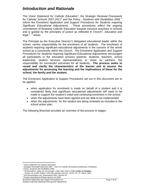# *Introduction and Rationale*

The *Vision Statement for Catholic Education*<sup>1</sup> , the *Strategic Renewal Framework*  for Catholic Schools 2007-2011<sup>2</sup> and the Policy - Students with Disabilities 2006<sup>3</sup> inform the *Enrolment Application and Support Procedures for Students requiring Significant Educational Adjustments.* These procedures reflect the ongoing commitment of Brisbane Catholic Education towards inclusive practices in schools and is guided by the principles of justice as reflected in  $Church<sup>4</sup>$ , education and legal <sup>5</sup>, <sup>6</sup> areas.

The Principal as the Executive Director's delegated educational leader within the school, carries responsibility for the enrolment of all students. The enrolment of students requiring significant educational adjustments is the concern of the whole school as a community within the Church. *The Enrolment Application and Support Procedures for Students requiring Significant Educational Adjustments* encourages all participants in the education process (parents, students, teachers, school leadership, student services representatives) to share as partners, the responsibility for successful outcomes for all students. **The process seeks to reveal and clarify the characteristics of the learner and to assess the adjustments for accessing the learning and the implications of these for the school, the family and the student.** 

The Enrolment Application & Support Procedures set out in this document are to be applied:

- when application for enrolment is made on behalf of a student and it is considered likely that significant educational adjustments will need to be made to support the student's initial and continuing enrolment in the school.
- when the adjustments have been agreed and are able to be implemented.
- when the adjustments for the student are being reviewed as included in the school action plan.

The following flowchart provides an overview of the process in stages.

l <sup>1</sup> Vision Statement for Catholic Education

<sup>&</sup>lt;sup>2</sup> Strategic Renewal/Framework 2007 – 2011 for Catholic Schooling Archdiocese of Brisbane

<sup>&</sup>lt;sup>3</sup> Policy- Students with Disabilities 2006

<sup>4</sup> "Of themselves, rights are not enough", Pope John Paul II (1994) **Letter to Families**,

Section 15, p.649, Origins, CNS Documentary Service, Vol.23: No. 37, March 1994.

<sup>5</sup> Anti-Discrimination Act, Queensland 1991, Section 44 <sup>6</sup> *Privacy Amendment (Private Sector) Act 2000*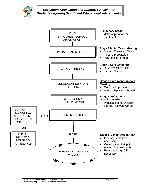

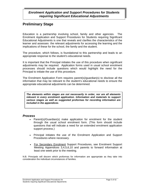## **Preliminary Stage**

Education is a partnership involving school, family and other agencies. The Enrolment Application and Support Procedures for Students requiring Significant Educational Adjustments is one that reveals and clarifies the characteristics of the learner and assesses the relevant adjustments for accessing the learning and the implications of these for the school, the family and the student.

The procedure, which follows, is foundational to this partnership and leads to an appropriate response to the student's educational needs.

It is important that the Principal initiates the use of this procedure when significant adjustments may be required. Application forms used in usual school enrolment processes should include questions which would highlight the need for the Principal to initiate the use of this procedure.

The Enrolment Application Form requires parent(s)/guardian(s) to disclose all the information that may be relevant to the student's educational needs to ensure the appropriate educational adjustments can be determined.

*The elements within stages are not necessarily in order, nor are all elements relevant in every enrolment application. Information and materials to support various stages as well as suggested proformas for recording information are included in the appendices.* 

## *Process*

- Parent(s)/Guardian(s) make application for enrolment for the student through the usual school enrolment form. (This form should include questions that will indicate a need for an extended enrolment application support process.)
- Principal initiates the use of the Enrolment Application and Support Procedures where necessary.
- For Secondary Enrolment Support Procedures, see Enrolment Support Meeting Appendices 3,4,5,6,10 and parents to forward information at least one week prior to the meeting.

N.B. Principals will discern which proformas for information are appropriate as they take into consideration the individual circumstances of families.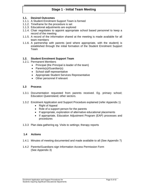## **Stage 1 - Initial Team Meeting**

#### **1.1. Desired Outcomes**

- 1.1.1. A Student Enrolment Support Team is formed
- 1.1.2. Timeframe for the procedure is set
- 1.1.3. Educational adjustments are explored
- 1.1.4. Chair negotiates to appoint appropriate school based personnel to keep a record of the meeting
- 1.1.5. A record of the information shared at the meeting is made available for all team members
- 1.1.6. A partnership with parents (and where appropriate, with the student) is established through the initial formation of the Student Enrolment Support Team

#### **1.2. Student Enrolment Support Team**

- 1.2.1. Permanent Members
	- Principal (the Principal is leader of the team)
	- Parents(s)/Guardian(s)
	- School staff representative
	- Appropriate Student Services Representative
	- Other personnel if relevant

#### **1.3 Process**

- 1.3.1 Documentation requested from parents received. Eg. primary school; Education Queensland; other sectors.
- 1.3.2 Enrolment Application and Support Procedure explained (refer Appendix 1)
	- Right of Appeal
	- Role of a support person for the parents
	- If appropriate, exploration of alternative educational placements
	- If appropriate, Education Adjustment Program (EAP) processes and procedures
- 1.3.3 Plan data gathering eg. Visits to settings; therapy reports

#### **1.4 Actions**

- 1.4.1 Minutes of meeting documented and made available to all (See Appendix 7)
- 1.4.2 Parents/Guardians sign Information Access Permission Form (See Appendix 3)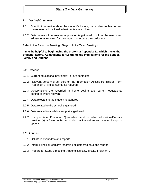## **Stage 2 – Data Gathering**

#### *2.1 Desired Outcomes*

- 2.1.1 Specific information about the student's history, the student as learner and the required educational adjustments are explored
- 2.1.2 Data relevant to enrolment application is gathered to inform the needs and adjustments required for the student to access the curriculum.

Refer to the Record of Meeting (Stage 1; Initial Team Meeting)

**It may be helpful to begin using the proforma Appendix 11, which tracks the Student Factors, Adjustments for Learning and Implications for the School, Family and Student.** 

#### *2.2 Process*

- 2.2.1 Current educational provider(s) is / are contacted
- 2.2.2 Relevant personnel as listed on the Information Access Permission Form (Appendix 3) are contacted as required.
- 2.2.3 Observations are recorded in home setting and current educational setting(s) where relevant
- 2.2.4 Data relevant to the student is gathered
- 2.2.5 Data related to the school is gathered
- 2.2.6 Data related to available support is gathered
- 2.2.7 If appropriate, Education Queensland and/ or other educational/service provider (s) is / are contacted to discuss the nature and scope of support options

#### *2.3 Actions*

- 2.3.1 Collate relevant data and reports
- 2.3.2 Inform Principal regularly regarding all gathered data and reports
- 2.3.3 Prepare for Stage 3 meeting (Appendices 5,6,7,8,9,11 if relevant).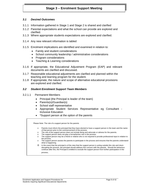## **Stage 3 – Enrolment Support Meeting**

#### *3.1 Desired Outcomes*

- 3.1.1 Information gathered in Stage 1 and Stage 2 is shared and clarified
- 3.1.2 Parental expectations and what the school can provide are explored and clarified.
- 3.1.3 Where appropriate students expectations are explored and clarified.
- 3.1.4 Any new relevant information is tabled
- 3.1.5 Enrolment implications are identified and examined in relation to:
	- Family and student considerations
	- School community leadership / administrative considerations
	- Program considerations
	- Teaching & Learning considerations
- 3.1.6 If appropriate, the Educational Adjustment Program (EAP) and relevant documents are clarified and discussed.
- 3.1.7 Reasonable educational adjustments are clarified and planned within the teaching and learning program for the student.
- 3.1.8 If appropriate, the nature and scope of alternative educational provisions are explored and clarified.

#### *3.2 Student Enrolment Support Team Members*

- 3.2.1.1 Permanent Members
	- Principal (the Principal is leader of the team)
	- Parents(s)/Guardian(s)
	- School staff representative
	- Appropriate Student Services Representative eg Consultant Inclusive Education
	- \*Support person at the option of the parents

| $\circ$  | Parents must inform the principal that they have elected to have a support person in the team and the name<br>of that person prior to the commencement of the process.                                                                                                                                                                      |
|----------|---------------------------------------------------------------------------------------------------------------------------------------------------------------------------------------------------------------------------------------------------------------------------------------------------------------------------------------------|
| $\Omega$ | The role of the support person does not include being and advocate or witness for the parents.                                                                                                                                                                                                                                              |
| $\Omega$ | The support person does not play a formal/active role in the process.                                                                                                                                                                                                                                                                       |
| $\Omega$ | The support person may be a friend or relative who is not required to provide professional input in relation to<br>the process.                                                                                                                                                                                                             |
| $\circ$  | The support person assists the parents to participate in the process and ensures that the parents understand<br>what is happening.                                                                                                                                                                                                          |
| $\circ$  | In the event that the principal is of the view that the support person is acting outside this role and inturn<br>disrupting the process, the principal should address this concern with the parents. Should the behaviour<br>continue after this, the Principal is entitled to exclude the support person from further participation in the |
|          | process.                                                                                                                                                                                                                                                                                                                                    |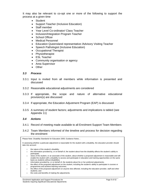It may also be relevant to co-opt one or more of the following to support the process at a given time

- Student
- Support Teacher (Inclusive Education)
- Staff member
- Year Level Co-ordinator/ Class Teacher
- Inclusion/Integration Program Teacher
- School Officer
- Medical Personnel
- Education Queensland representative /Advisory Visiting Teacher
- Speech Pathologist (Inclusive Education)
- Occupational Therapist
- Physiotherapist
- ESL Teacher
- Community organisation or agency
- Area Supervisor
- Other

### *3.3 Process*

- 3.3.1 Input is invited from all members while information is presented and discussed
- 3.3.2 Reasonable educational adjustments are considered
- 3.3.3 If appropriate, the scope and nature of alternative educational provision(s) are discussed
- 3.3.4 If appropriate, the Education Adjustment Program (EAP) is discussed
- 3.3.5 A summary of student factors; adjustments and implications is tabled (see Appendix 11)

#### *3.4 Actions*

- 3.4.1 Record of meeting made available to all Enrolment Support Team Members
- 3.4.2 Team Members informed of the timeline and process for decision regarding the enrolment

Please Note: Disability Standards for Education 2005; Guidance Notes…

In assessing whether a particular adjustment is reasonable for the student with a disability, the education provider should take into account:

- □ the nature of the student's disability;
- □ the information provided by, or on behalf of, the student about how the disability affects the student's ability to participate;
- □ views of the student, or an associate of the student, about whether a proposed adjustment is reasonable and will enable the student with a disability to access and participate in education and training opportunities on the same basis as students without disabilities;
- □ information provided by, or on behalf of, the students about his or her preferred adjustments;
- □ the effect of the proposed adjustment on the student, including the student's ability to participate in courses or programmes and achieve learning outcomes;
- □ the effect of the proposed adjustment on anyone else affected, including the education provider, staff and other students; and
- □ the costs and benefits of making the adjustments.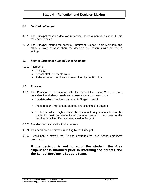## *4.1 Desired outcomes*

- 4.1.1 The Principal makes a decision regarding the enrolment application. ( This may occur earlier)
- 4.1.2 The Principal informs the parents, Enrolment Support Team Members and other relevant persons about the decision and confirms with parents in writing

#### *4.2 School Enrolment Support Team Members*

- 4.2.1 Members
	- Principal
	- School staff representative/s
	- Relevant other members as determined by the Principal

### *4.3 Process*

- 4.3.1 The Principal in consultation with the School Enrolment Support Team considers the students needs and makes a decision based upon:
	- the data which has been gathered in Stages 1 and 2
	- the enrolment implications clarified and examined in Stage 3
	- the factors which might include the reasonable adjustments that can be made to meet the student's educational needs in response to the requirements identified and examined in Stage 3
- 4.3.2 The decision is shared with the parents
- 4.3.3 This decision is confirmed in writing by the Principal
- 4.3.4 If enrolment is offered, the Principal continues the usual school enrolment procedures.

## **If the decision is not to enrol the student, the Area Supervisor is informed prior to informing the parents and the School Enrolment Support Team.**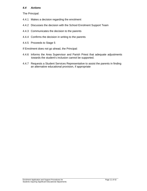## *4.4 Actions*

The Principal:

- 4.4.1 Makes a decision regarding the enrolment
- 4.4.2 Discusses the decision with the School Enrolment Support Team
- 4.4.3 Communicates the decision to the parents
- 4.4.4 Confirms the decision in writing to the parents
- 4.4.5 Proceeds to Stage 5
- If Enrolment does not go ahead, the Principal:
- 4.4.6 Informs the Area Supervisor and Parish Priest that adequate adjustments towards the student's inclusion cannot be supported.
- 4.4.7 Requests a Student Services Representative to assist the parents in finding an alternative educational provision, if appropriate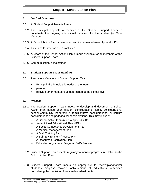## **Stage 5 - School Action Plan**

#### *5.1 Desired Outcomes*

- 5.1.1 A Student Support Team is formed
- 5.1.2 The Principal appoints a member of the Student Support Team to coordinate the ongoing educational provision for the student (ie Case Manager)
- 5.1.3 A School Action Plan is developed and implemented (refer Appendix 12)
- 5.1.4 Timelines for reviews are established
- 5.1.5 A record of the School Action Plan is made available for all members of the Student Support Team
- 5.1.6 Communication is maintained

#### *5.2 Student Support Team Members*

- 5.2.1 Permanent Members of Student Support Team
	- Principal (the Principal is leader of the team)
	- parents
	- relevant other members as determined at the school level

#### *5.3 Process*

- 5.3.1 The Student Support Team meets to develop and document a School Action Plan based upon student considerations, family considerations, school community leadership / administrative considerations, curriculum considerations and pedagogical considerations. This *may* include:
	- A School Action Plan (refer to Appendix 12)
	- An Individual Educational Plan (IEP)
	- A Social Competency Development Plan
	- A Medical Management Plan
	- A Staff Training Plan
	- A Built Environment / Access Plan
	- A Resources Acquisition Plan
	- Education Adjustment Program (EAP) Process
- 5.3.2 Student Support Team meets regularly to monitor progress in relation to the School Action Plan
- 5.3.3 Student Support Team meets as appropriate to review/plan/monitor student's progress towards achievement of educational outcomes considering the provision of reasonable adjustments.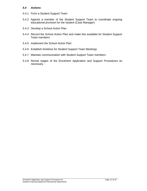#### *5.4 Actions*

- 5.4.1 Form a Student Support Team
- 5.4.2 Appoint a member of the Student Support Team to coordinate ongoing educational provision for the student (Case Manager)
- 5.4.3 Develop a School Action Plan
- 5.4.4 Record the School Action Plan and make this available for Student Support Team members
- 5.4.5 Implement the School Action Plan
- 5.4.6 Establish timelines for Student Support Team Meetings
- 5.4.7 Maintain communication with Student Support Team members
- 5.4.8 Revisit stages of the Enrolment Application and Support Procedures as necessary.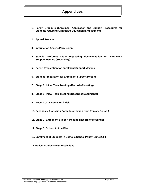## **Appendices**

- **1. Parent Brochure (Enrolment Application and Support Procedures for Students requiring Significant Educational Adjustments)**
- **2. Appeal Process**
- **3. Information Access Permission**
- **4. Sample Proforma Letter requesting documentation for Enrolment Support Meeting (Secondary)**
- **5. Parent Preparation for Enrolment Support Meeting**
- **6. Student Preparation for Enrolment Support Meeting**
- **7. Stage 1: Initial Team Meeting (Record of Meeting)**
- **8. Stage 1: Initial Team Meeting (Record of Documents)**
- **9. Record of Observation / Visit**
- **10. Secondary Transition Form (Information from Primary School)**
- **11. Stage 3: Enrolment Support Meeting (Record of Meetings)**
- **12. Stage 5: School Action Plan**
- **13. Enrolment of Students in Catholic School Policy, June 2004**
- **14. Policy: Students with Disabilities**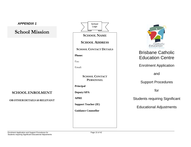# **School Mission**

## **SCHOOL ENROLMENT**

**OROTHERDETAILSASRELEVANT** 

**SCHOOL NAMESCHOOL ADDRESSSCHOOL CONTACT DETAILSPhone:** Fax: Email: **SCHOOL CONTACT PERSONNELPrincipal Deputy/APA APRE Support Teacher (IE) Guidance Counsellor School** Logo



# Brisbane Catholic Education Centre

Enrolment Application

and

## Support Procedures

for

Students requiring Significant

Educational Adjustments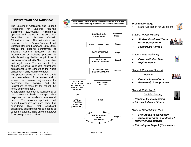## *Introduction and Rationale*

The Enrolment Application and Support Procedures for Students requiring Significant Educational Adjustments operates within the Policy – Students with Disabilities for Brisbane Catholic Education schools. This policy statement, consistent with the Vision Statement and Strategic Renewal Framework 2007-2011, reflects the ongoing commitment of Brisbane Catholic Education to the incorporation of inclusive practices in schools and is guided by the principles of justice as reflected with Church, education and legal areas. The enrolment of a student requiring significant educational adjustments is the concern of the whole school community within the church.

The process seeks to reveal and clarify the characteristics of the learner, and to assess the relevant adjustments for accessing the learning and the implications of these for the school, the family and the student.

A partnership approach is foundational to this process and leads to an appropriate response to the student's educational needs. The enrolment application and support procedures are used when it is considered likely that significant educational adjustments will be needed to support a student's initial enrolment and/or for ongoing service provision. **SCHOOL ACTION SCHOOL ACTION** 



**ENROLMENT APPLICATION AND SUPPORT PROCEDURESFor Students requiring Significant Educational Adjustments** 



#### **Preliminary Stage**

0

0



Make Application for Enrolment

#### *Stage 1 Parent Meeting*

0 *Student Enrolment Team meeting preparation* 



. *Partnership Formed*

#### *Stage 2 Data Gathering*

- 0 *Observe/Collect Data*
- 0 *Explore Needs*

#### *Stage 3 Enrolment Support*



- *Examine Implications*
- 0 *Partnership Strengthened*

#### *Stage 4 Reflection &*

*Decision Making*

- *Principal Makes Decision*
- *Informs Relevant Others*

#### *Stage 5 School Action Plan*

- 0 *Plan Action as Necessary*
- 0 *Ongoing program monitoring & Review of adjustments*
- *Returning to Stage 2 (if necessary*

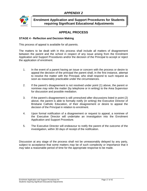

**Enrolment Application and Support Procedures for Students requiring Significant Educational Adjustments** 

## **APPEAL PROCESS**

## **STAGE 4 - Reflection and Decision Making**

This process of appeal is available for all parents.

The matters to be dealt with in this process shall include all matters of disagreement between the parent and the school in respect of any issue arising from the Enrolment Application and Support Procedures and/or the decision of the Principal to accept or reject the application of enrolment.

- 1. In the event of a parent having an issue or concern with the process or desire to appeal the decision of the principal the parent shall, in the first instance, attempt to resolve the matter with the Principal, who shall respond to such request as soon as reasonably practicable under the circumstances.
- 2. If the parent's disagreement is not resolved under point (1) above, the parent or nominee *may* refer the matter (by telephone or in writing) to the Area Supervisor for discussion and possible mediation.
- 3. If the parent's disagreement is still unresolved after discussions listed in point (2) above, the parent is able to formally notify (in writing) the Executive Director of Brisbane Catholic Education, of their disagreement or desire to appeal the decision of the Principal in relation to enrolment.
- 4. Upon formal notification of a disagreement or request to appeal, a nominee of the Executive Director will undertake an investigation into the Enrolment Application and Support Procedure.
- 5. The Executive Director will endeavour to notify the parent of the outcome of the investigation, within 30 days of receipt of the notification.

Discussion at any stage of the process shall not be unreasonably delayed by any party, subject to acceptance that some matters *may* be of such complexity or importance that it *may* take a reasonable period of time for the appropriate response to be made.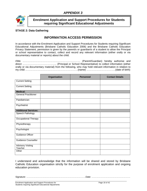

## **Enrolment Application and Support Procedures for Students requiring Significant Educational Adjustments**

## **STAGE 2: Data Gathering**

## **INFORMATION ACCESS PERMISSION**

In accordance with the Enrolment Application and Support Procedures for Students requiring Significant Educational Adjustments (Brisbane Catholic Education 2006) and the Brisbane Catholic Education Privacy Statement, permission is given by the parent/s or guardian/s of a student to allow the Principal or school representative to contact, collect and record any relevant information (either orally or via documentary material or reports) about the child.

I/We …………………………………………………………… (Parent/Guardian) hereby authorise and direct ………………………………….. (Principal or School Representative) to collect information (either orally or via documentary material) from the following, who *may* hold relevant information in relation to my child ………………………………………………………(name) ……………………………..(date of birth)

|                                     | Organisation | <b>Personnel</b> | <b>Contact Details</b> |
|-------------------------------------|--------------|------------------|------------------------|
| <b>Current Setting</b>              |              |                  |                        |
| <b>Current Setting</b>              |              |                  |                        |
| <b>Medical:</b>                     |              |                  |                        |
| <b>General Practitioner</b>         |              |                  |                        |
| Paediatrician                       |              |                  |                        |
| Psychiatrist                        |              |                  |                        |
| <b>Additional Services:</b>         |              |                  |                        |
| Speech Pathology                    |              |                  |                        |
| Occupational Therapy                |              |                  |                        |
| Physiotherapy                       |              |                  |                        |
| Psychologist                        |              |                  |                        |
| <b>Guidance Officer</b>             |              |                  |                        |
| <b>Guidance Counsellor</b>          |              |                  |                        |
| <b>Advisory Visiting</b><br>Teacher |              |                  |                        |
| Other                               |              |                  |                        |

I understand and acknowledge that the information will be shared and stored by Brisbane Catholic Education organisation strictly for the purpose of enrolment application and ongoing education provision.

Signature: ……………………………………………………………………Date: ……………………………………………

Enrolment Application and Support Procedures for Page 18 of 42 Students requiring Significant Educational Adjustments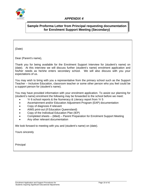

## **Sample Proforma Letter from Principal requesting documentation for Enrolment Support Meeting (Secondary)**

(Date)

Dear (Parent's name),

Thank you for being available for the Enrolment Support Interview for (student's name) on (date). At this interview we will discuss further (student's name) enrolment application and his/her needs as he/she enters secondary school. We will also discuss with you your expectations of us.

You may wish to bring with you a representative from the primary school such as the Support Teacher – Inclusive Education, classroom teacher or some other person who you feel could be a support person for (student's name).

You may have provided information with your enrolment application. To assist our planning for (student's name) enrolment the following may be forwarded to the school before we meet:

- Yr 6 school reports & the Numeracy & Literacy report from Yr 5
- Ascertainment and/or Education Adjustment Program (EAP) documentation
- Copy of diagnosis if relevant
- AIMS print-out (if Education Queensland)
- Copy of the Individual Education Plan (IEP)
- Completed sheets (titled) Parent Preparation for Enrolment Support Meeting
- Any other relevant documentation

We look forward to meeting with you and (student's name) on (date).

Yours sincerely

Principal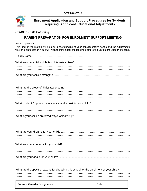

**Enrolment Application and Support Procedures for Students requiring Significant Educational Adjustments** 

## **STAGE 2 - Data Gathering**

## **PARENT PREPARATION FOR ENROLMENT SUPPORT MEETING**

Note to parents

This kind of information will help our understanding of your son/daughter's needs and the adjustments we can plan together. You *may* wish to think about the following before the Enrolment Support Meeting.

| Child's Name:                                                                           |
|-----------------------------------------------------------------------------------------|
|                                                                                         |
|                                                                                         |
|                                                                                         |
|                                                                                         |
| What are the areas of difficulty/concern?                                               |
|                                                                                         |
|                                                                                         |
|                                                                                         |
|                                                                                         |
| What is your child's preferred way/s of learning?                                       |
|                                                                                         |
|                                                                                         |
|                                                                                         |
|                                                                                         |
|                                                                                         |
|                                                                                         |
|                                                                                         |
|                                                                                         |
| What are the specific reasons for choosing this school for the enrolment of your child? |
|                                                                                         |
|                                                                                         |
|                                                                                         |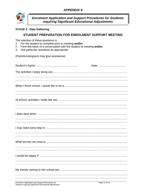

*Enrolment Application and Support Procedures for Students requiring Significant Educational Adjustments* 

## **STAGE 2 - Data Gathering**

## **STUDENT PREPARATION FOR ENROLMENT SUPPORT MEETING**

The intention of these questions is

- 1. For the student to complete prior to meeting **and/or**
- 2. Form the basis of a conversation with the student at meeting **and/or**
- 3. Use particular questions as appropriate.

(Parents/caregivers may give assistance)

| Date: |
|-------|
|       |
|       |
|       |
|       |
|       |
|       |
|       |
|       |
|       |
|       |
|       |
|       |
|       |
|       |
|       |
|       |

Enrolment Application and Support Procedures for Page 21 of 42 Students requiring Significant Educational Adjustments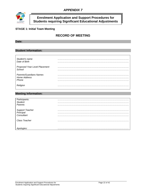

## **Enrolment Application and Support Procedures for Students requiring Significant Educational Adjustments**

## **STAGE 1: Initial Team Meeting**

## **RECORD OF MEETING**

#### **Date:**

#### **Student Information:**

| Student's name<br>Date of Birth                  | .          |
|--------------------------------------------------|------------|
| Proposed Year Level Placement<br>School          |            |
| Parents/Guardians Names<br>Home Address<br>Phone | .<br><br>. |
|                                                  |            |

#### **Meeting Information:**

| <b>Student</b>                             |   |
|--------------------------------------------|---|
| Parents                                    |   |
| Support Teacher<br>Principal<br>Consultant |   |
|                                            | . |
| Class Teacher                              |   |
|                                            |   |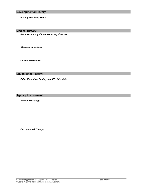*Infancy and Early Years*

**Medical History:** 

*Past/present, significant/recurring illnesses*

*Ailments, Accidents*

*Current Medication*

#### **Educational History:**

*Other Education Settings eg: EQ; Interstate*

**Agency Involvement:**

*Speech Pathology*

*Occupational Therapy*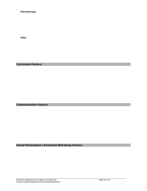*Physiotherapy*

*Other*

**Curriculum Factors:** 

**Communication Factors:**

**Social Participation / Emotional Well-being Factors:**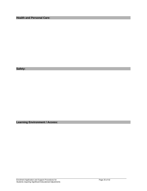**Health and Personal Care:** 

**Safety:** 

**Learning Environment / Access:**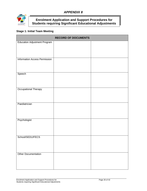

## **Enrolment Application and Support Procedures for Students requiring Significant Educational Adjustments**

## **Stage 1: Initial Team Meeting**

|                                     | <b>RECORD OF DOCUMENTS</b> |  |
|-------------------------------------|----------------------------|--|
| <b>Education Adjustment Program</b> |                            |  |
| Information Access Permission       |                            |  |
| Speech                              |                            |  |
| <b>Occupational Therapy</b>         |                            |  |
| Paediatrician                       |                            |  |
| Psychologist                        |                            |  |
| School/SEDU/FECS                    |                            |  |
| Other Documentation                 |                            |  |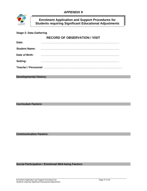

**Enrolment Application and Support Procedures for Students requiring Significant Educational Adjustments** 

## **Stage 2: Data Gathering**

## **RECORD OF OBSERVATION / VISIT**

| Date:                                              |  |  |
|----------------------------------------------------|--|--|
| <b>Student Name:</b>                               |  |  |
| Date of Birth:                                     |  |  |
| <b>Setting:</b>                                    |  |  |
| Teacher / Personnel: …………………………………………………………………………… |  |  |

#### **Developmental History:**

**Curriculum Factors:** 

**Communication Factors:**

#### **Social Participation / Emotional Well-being Factors:**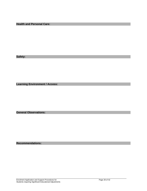**Health and Personal Care:** 

**Safety:** 

**Learning Environment / Access:** 

**General Observations:** 

**Recommendations:**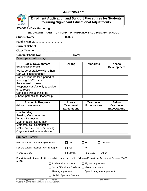

## **Enrolment Application and Support Procedures for Students requiring Significant Educational Adjustments**

### **STAGE 2 - Data Gathering:**

**SECONDARY TRANSITION FORM – INFORMATION FROM PRIMARY SCHOOL** 

**Student Name:**………………………………… **D.O.B:** ……………………………

**Family Name:**…………………………………

|                               | Date: |
|-------------------------------|-------|
| <b>Developmental History:</b> |       |

| <b>Social Development</b><br>(tick appropriate column) | <b>Strong</b> | <b>Moderate</b> | <b>Needs</b><br><b>Development</b> |
|--------------------------------------------------------|---------------|-----------------|------------------------------------|
| Works co-operatively with others                       |               |                 |                                    |
| Can work independently                                 |               |                 |                                    |
| Can concentrate for a period of                        |               |                 |                                    |
| time $e.g. 15-20$ mins                                 |               |                 |                                    |
| Relates well to peers                                  |               |                 |                                    |
| Responds satisfactorily to advice                      |               |                 |                                    |
| or correction                                          |               |                 |                                    |
| Can cope with a challenge                              |               |                 |                                    |
| Shows potential for leadership                         |               |                 |                                    |

| <b>Academic Progress</b><br>(tick appropriate column) | <b>Above</b><br><b>Year Level</b><br><b>Expectations</b> | <b>Year Level</b><br><b>Expectations</b> | <b>Below</b><br><b>Year Level</b><br><b>Expectations</b> |
|-------------------------------------------------------|----------------------------------------------------------|------------------------------------------|----------------------------------------------------------|
| <b>Oral Reading</b>                                   |                                                          |                                          |                                                          |
| <b>Reading Comprehension</b>                          |                                                          |                                          |                                                          |
| <b>Written Expression</b>                             |                                                          |                                          |                                                          |
| Mathematics - Numeration                              |                                                          |                                          |                                                          |
| Mathematics - Computation                             |                                                          |                                          |                                                          |
| Mathematics - Problem Solving                         |                                                          |                                          |                                                          |
| Organisational Independence                           |                                                          |                                          |                                                          |

### **Support History:**

| Has the student repeated a year level?                                                                                 |                           | l Yes                    | ∣No                        | Unknown                    |
|------------------------------------------------------------------------------------------------------------------------|---------------------------|--------------------------|----------------------------|----------------------------|
| Has the student received learning support?                                                                             |                           | Yes                      | l No                       |                            |
| In which areas?                                                                                                        |                           | l Literacv               | Numeracy                   | Other                      |
| Does this student have identified needs in one or more of the following Educational Adjustment Program (EAP)<br>areas? |                           |                          |                            |                            |
|                                                                                                                        | Intellectual Impairment   |                          | $\Box$ Physical Impairment |                            |
| Social / Emotional Disability                                                                                          |                           | $\Box$ Vision Impairment |                            |                            |
|                                                                                                                        | <b>Hearing Impairment</b> |                          |                            | Speech Language Impairment |

□ Autistic Spectrum Disorder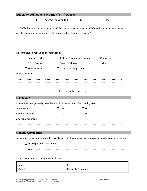| <b>Education Adjustment Program (EAP) Details:</b>                                                                |                                  |                                      |              |
|-------------------------------------------------------------------------------------------------------------------|----------------------------------|--------------------------------------|--------------|
| EAP Agency: Education Qld                                                                                         |                                  | $\Box$ BCEC                          | $\Box$ Other |
|                                                                                                                   |                                  |                                      |              |
| Are there any other issues which could impact on the student's education?                                         |                                  |                                      |              |
|                                                                                                                   |                                  |                                      |              |
|                                                                                                                   |                                  |                                      |              |
| Does the student receive additional support?                                                                      |                                  |                                      |              |
| $\Box$ Support Teacher                                                                                            |                                  | $\Box$ Inclusion/Integration Program | □Counsellor  |
| $\Box$ E.S.L. Teacher                                                                                             | □Speech Pathologist              |                                      | Other        |
| <b>School Officer</b>                                                                                             | <b>Advisory Visiting Teacher</b> |                                      |              |
| Please describe:                                                                                                  |                                  |                                      |              |
|                                                                                                                   |                                  |                                      |              |
|                                                                                                                   |                                  |                                      |              |
|                                                                                                                   |                                  | (Please forward relevant reports)    |              |
|                                                                                                                   |                                  |                                      |              |
| <b>Behaviour:</b>                                                                                                 |                                  |                                      |              |
| Does the student generally meet the school's expectations in the following areas?                                 |                                  |                                      |              |
| Attendance:                                                                                                       | Yes                              | No                                   |              |
| Code of Conduct:                                                                                                  | ∣Yes                             | No.                                  |              |
| Additional comments:                                                                                              |                                  |                                      |              |
|                                                                                                                   |                                  |                                      |              |
|                                                                                                                   |                                  |                                      |              |
| <b>General Comments:</b>                                                                                          |                                  |                                      |              |
| Is there any other information which would assist us with the enrolment and continuing education of this student? |                                  |                                      |              |
| $\Box$ Please phone for further details                                                                           |                                  |                                      |              |
|                                                                                                                   |                                  |                                      |              |
| Thank you for your time in completing this form                                                                   |                                  |                                      |              |
| Name:                                                                                                             |                                  |                                      |              |
| Signature:                                                                                                        |                                  |                                      |              |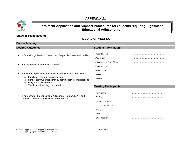

## **Enrolment Application and Support Procedures for Students requiring Significant Educational Adjustments**

## **Stage 3: Team Meeting**

## **RECORD OF MEETING**

#### **Date of Meeting: Desired Outcomes: Student Information: Meeting Participants:** *Student's name* …………………………………………… *Date of Birth* …………………………………………… *Proposed Year Level Placement* …………………………………………… *Proposed School* …………………………………………… *Home Address* …………………………………………… *Phone* …………………………………………… *Religion* …………………………………………… *Participants:* …………………………………………… *Student* …………………………………………… *Parents/Guardians* …………………………………………… **Information gathered in Stage 1 and Stage 2 is shared and clarified Any new relevant information is tabled**  Enrolment implications are identified and examined in relation to:  $\Rightarrow$  Family and student considerations  $\Rightarrow$  School community leadership / administrative considerations  $\Rightarrow$  Program considerations  $\Rightarrow$  Teaching & Learning considerations If appropriate, the Educational Adjustment Program (EAP) and relevant documents are clarified and discussed.

*Support Teacher (IE)* ……………………………………………

*Principal* ……………………………………………

*Class Teacher* ……………………………………………

*SSR* ……………………………………………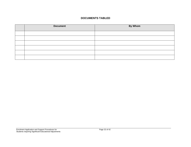#### **DOCUMENTS TABLED**

| <b>Document</b> | <b>By Whom</b> |
|-----------------|----------------|
|                 |                |
|                 |                |
|                 |                |
|                 |                |
|                 |                |
|                 |                |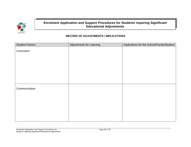

## **Enrolment Application and Support Procedures for Students requiring Significant Educational Adjustments**

## **RECORD OF ADJUSTMENTS / IMPLICATIONS**

| <b>Student Factors</b> | <b>Adjustments for Learning</b> | Implications for the School/Family/Student |
|------------------------|---------------------------------|--------------------------------------------|
| Curriculum:            |                                 |                                            |
|                        |                                 |                                            |
|                        |                                 |                                            |
|                        |                                 |                                            |
|                        |                                 |                                            |
| Communication:         |                                 |                                            |
|                        |                                 |                                            |
|                        |                                 |                                            |
|                        |                                 |                                            |
|                        |                                 |                                            |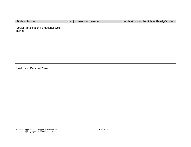| <b>Student Factors</b>                           | <b>Adjustments for Learning</b> | Implications for the School/Family/Student |
|--------------------------------------------------|---------------------------------|--------------------------------------------|
| Social Participation / Emotional Well-<br>being: |                                 |                                            |
|                                                  |                                 |                                            |
| Health and Personal Care:                        |                                 |                                            |
|                                                  |                                 |                                            |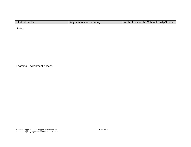| <b>Student Factors</b>              | Adjustments for Learning | Implications for the School/Family/Student |
|-------------------------------------|--------------------------|--------------------------------------------|
| Safety:                             |                          |                                            |
|                                     |                          |                                            |
|                                     |                          |                                            |
|                                     |                          |                                            |
|                                     |                          |                                            |
| <b>Learning Environment Access:</b> |                          |                                            |
|                                     |                          |                                            |
|                                     |                          |                                            |
|                                     |                          |                                            |
|                                     |                          |                                            |
|                                     |                          |                                            |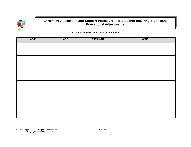

## **Enrolment Application and Support Procedures for Students requiring Significant Educational Adjustments**

#### **ACTION SUMMARY - IMPLICATIONS**

| What | <b>Who</b> | <b>Comments</b> | <b>Check</b> |
|------|------------|-----------------|--------------|
|      |            |                 |              |
|      |            |                 |              |
|      |            |                 |              |
|      |            |                 |              |
|      |            |                 |              |
|      |            |                 |              |
|      |            |                 |              |
|      |            |                 |              |
|      |            |                 |              |
|      |            |                 |              |
|      |            |                 |              |
|      |            |                 |              |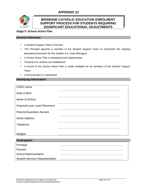

## **BRISBANE CATHOLIC EDUCATION ENROLMENT SUPPORT PROCESS FOR STUDENTS REQUIRING SIGNIFICANT EDUCATIONAL ADJUSTMENTS**

## **Stage 5: School Action Plan**

### **Desired Outcomes:**

- A Student Support Team is formed
- The Principal appoints a member of the Student Support Team to coordinate the ongoing educational provision for the student (i.e. Case Manager)
- A School Action Plan is developed and implemented.
- Timelines for reviews are established
- A record of the School Action Plan is made available for all members of the Student Support Team.
- Communication is maintained

### *Identifying Information:*

| Child's name                  |  |
|-------------------------------|--|
| Date of Birth                 |  |
| Name of School                |  |
| Proposed year Level Placement |  |
| Parents/Guardians Name/s      |  |
| Home Address                  |  |
| Telephone                     |  |
|                               |  |
| Religion                      |  |
|                               |  |

| <b>Participants:</b>                    |  |
|-----------------------------------------|--|
| Principal:                              |  |
| Parents:                                |  |
| <b>School Representative:</b>           |  |
| <b>Student Services Representative:</b> |  |
|                                         |  |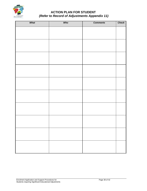

## **ACTION PLAN FOR STUDENT**   *(Refer to Record of Adjustments Appendix 11)*

| What | Who | <b>Comments</b> | <b>Check</b> |
|------|-----|-----------------|--------------|
|      |     |                 |              |
|      |     |                 |              |
|      |     |                 |              |
|      |     |                 |              |
|      |     |                 |              |
|      |     |                 |              |
|      |     |                 |              |
|      |     |                 |              |
|      |     |                 |              |
|      |     |                 |              |
|      |     |                 |              |
|      |     |                 |              |
|      |     |                 |              |
|      |     |                 |              |
|      |     |                 |              |
|      |     |                 |              |
|      |     |                 |              |
|      |     |                 |              |
|      |     |                 |              |
|      |     |                 |              |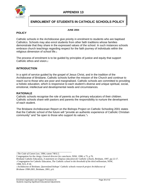

## **ENROLMENT OF STUDENTS IN CATHOLIC SCHOOLS POLICY**

#### **JUNE 2004**

## **POLICY**

Catholic schools in the Archdiocese give priority in enrolment to students who are baptised Catholics. Schools may also enrol students from other faith traditions whose families demonstrate that they share in the expressed values of the school. In such instances schools embrace church teachings regarding respect for the faith journey of individuals within the religious dimension of school life.1

The process of enrolment is to be guided by principles of justice and equity that support Catholic ethos and vision.2

## **INTRODUCTION**

In a spirit of service guided by the gospel of Jesus Christ, and in the tradition of the Archdiocese of Brisbane, Catholic schools further the mission of the Church and continue to reach out to those who are poor and marginalised. Catholic schools are committed to providing a holistic education, which is responsive to each student's diverse and unique spiritual, social, emotional, intellectual and developmental needs and circumstances.

### **RATIONALE**

Catholic schools recognise the role of parents as the primary educators of their children. Catholic schools share with pastors and parents the responsibility to nurture the development of each student.

The Brisbane Archdiocesan Report on the Bishops Project on Catholic Schooling 2001 states that the Catholic school of the future will "provide an authentic experience of Catholic Christian community" and "be open to those who support its values."3

<sup>1</sup>*The Code of Canon Law,* 1984, canon 748 § 2.

 $\_$  ,  $\_$  ,  $\_$  ,  $\_$  ,  $\_$  ,  $\_$  ,  $\_$  ,  $\_$  ,  $\_$  ,  $\_$  ,  $\_$  ,  $\_$  ,  $\_$  ,  $\_$  ,  $\_$ 

Congregation for the clergy; *General director for catechesis,* NSW, 1998, n 75, p.76.

Brisbane Catholic Education, *A statement on religious education for Catholic schools,* Brisbane, 1997, pp.12-17. 2 Congregation for Catholic Education, *The Catholic school in the threshold of the third millennium,* NSW, 1998, N15, P.18.

<sup>3</sup> Archdiocese of Brisbane, *Queensland bishops' Catholic schools research project Archdiocese of Brisbane 1998-2001*, Brisbane, 2001, p.6.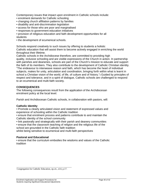Contemporary issues that impact upon enrolment in Catholic schools include:

- enrolment demands for Catholic schooling
- changing church affiliation patterns by families
- disability and anti-discrimination legislation
- access for those who are poor and marginalised
- responses to government education initiatives
- provision of religious education and faith development opportunities for all students
- the development of ecumenical schools.

Schools respond creatively to such issues by offering to students a holistic Catholic education that will assist them to become actively engaged in enriching the world throughout their lifetime.

Catholic schools in the Archdiocese therefore, are committed to providing high quality, inclusive schooling and are visible expressions of the Church in action. In partnership with parishes and deaneries, schools are part of the Church's mission to educate and support the faith of its members. They also contribute to the development of Catholic Christian identity. "The endeavour to interweave reason and faith, which has become the heart of individual subjects, makes for unity, articulation and coordination, bringing forth within what is learnt in school a Christian vision of the world, of life, of culture and of history."4 Guided by principles of respect and tolerance, and in a spirit of dialogue, Catholic schools are challenged to respond to an ecumenical and multi-faith society.

### **CONSEQUENCES**

The following consequences result from the application of the Archdiocesan enrolment policy at the local level.

Parish and Archdiocesan Catholic schools, in collaboration with pastors, will:

## **Catholic Identity**

• Promote a clearly articulated vision and statement of expressed values and experience of schooling within the Catholic tradition

- ensure that enrolment process and patterns contribute to and maintain the Catholic identity of the school community
- link pastorally and strategically with their parish and deanery communities
- ensure that the classroom teaching of religion and the religious life of the school are grounded in the Catholic faith tradition

whilst being sensitive to ecumenical and multi-faith perspectives

## **Pastoral and Educational**

• ensure that the curriculum embodies the wisdoms and values of the Catholic tradition

\_\_\_\_\_\_\_\_\_\_\_\_\_\_\_\_\_\_\_\_\_\_\_\_\_\_\_\_\_\_\_\_\_\_\_\_\_\_\_\_\_\_\_\_\_\_\_\_\_\_\_\_\_\_\_ Congregation for Catholic Education, op.cit., n14, p.17.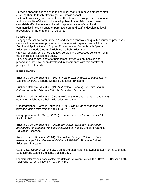• provide opportunities to enrich the spirituality and faith development of staff enabling them to teach effectively in a Catholic school

• interact proactively with students and their families, through the educational and pastoral life of the school, assisting them in their faith development

• establish effective relationships with representatives of their local communities including pastors, parents/carers and staff in developing local procedures for the enrolment of students

## **Leadership**

• engage the school community in Archdiocesan renewal and quality assurance processes

• ensure that enrolment processes for students with special needs follow the Enrolment Application and Support Procedures for Students with Special

Educational Needs (2002) of Brisbane Catholic Education

• review regularly school fee and levy policies and processes consistent with the principles of justice and equity

• develop and communicate to their community enrolment policies and procedures that have been developed in accordance with this enrolment policy and local needs.

## **REFERENCES**

Brisbane Catholic Education. (1997). *A statement on religious education for Catholic schools.* Brisbane Catholic Education. Brisbane.

Brisbane Catholic Education. (1997). *A syllabus for religious education for Catholic schools..* Brisbane Catholic Education. Brisbane.

Brisbane Catholic Education. (2003). *Religious education years 1-10 learning outcomes.* Brisbane Catholic Education. Brisbane.

Congregation for Catholic Education. (1998). *The Catholic school on the threshold of the third millennium.* St Paul's. NSW.

Congregation for the Clergy. (1998). *General directory for catechesis.* St Paul's. NSW.

Brisbane Catholic Education. (2002). *Enrolment application and support procedures for students with special educational needs.* Brisbane Catholic Education. Brisbane.

Archdiocese of Brisbane. (2001). *Queensland bishops' Catholic schools research project Archdiocese of Brisbane 1998-2001.* Brisbane Catholic Education. Brisbane.

(1984). *The Code of Canon Law.* Collins Liturgical Australia. (Original Latin text © copyright 1983 Libreria Editrice Vaticana, Vatican City).

For more information please contact the Catholic Education Council, GPO Box 1201, Brisbane 4001, Telephone (07) 3840 0400, Fax (07 3844 5101